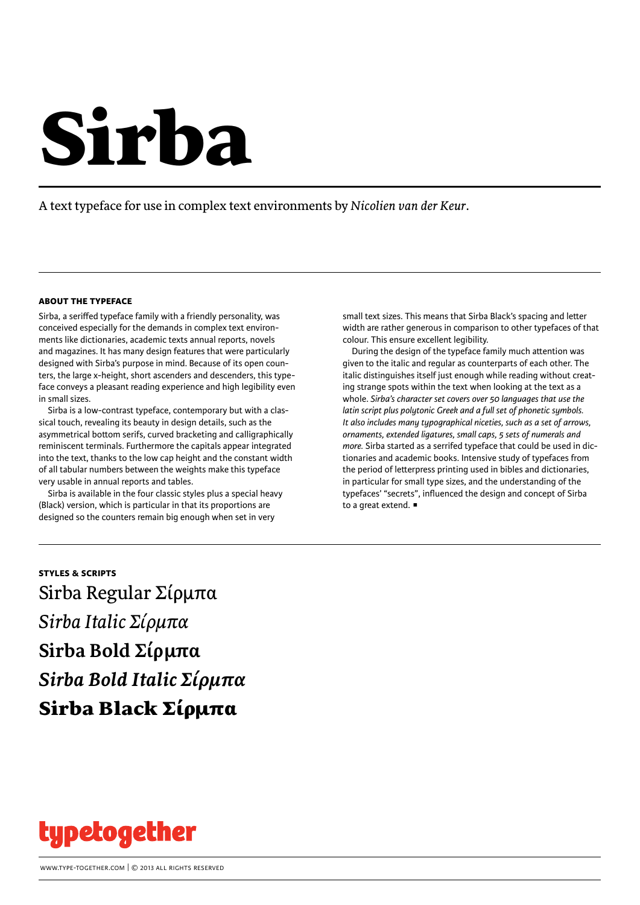# Sirba

A text typeface for use in complex text environments by *Nicolien van der Keur*.

# **about the typeface**

Sirba, a seriffed typeface family with a friendly personality, was conceived especially for the demands in complex text environments like dictionaries, academic texts annual reports, novels and magazines. It has many design features that were particularly designed with Sirba's purpose in mind. Because of its open counters, the large x-height, short ascenders and descenders, this typeface conveys a pleasant reading experience and high legibility even in small sizes.

Sirba is a low-contrast typeface, contemporary but with a classical touch, revealing its beauty in design details, such as the asymmetrical bottom serifs, curved bracketing and calligraphically reminiscent terminals. Furthermore the capitals appear integrated into the text, thanks to the low cap height and the constant width of all tabular numbers between the weights make this typeface very usable in annual reports and tables.

Sirba is available in the four classic styles plus a special heavy (Black) version, which is particular in that its proportions are designed so the counters remain big enough when set in very

small text sizes. This means that Sirba Black's spacing and letter width are rather generous in comparison to other typefaces of that colour. This ensure excellent legibility.

During the design of the typeface family much attention was given to the italic and regular as counterparts of each other. The italic distinguishes itself just enough while reading without creating strange spots within the text when looking at the text as a whole. *Sirba's character set covers over 50 languages that use the latin script plus polytonic Greek and a full set of phonetic symbols. It also includes many typographical niceties, such as a set of arrows, ornaments, extended ligatures, small caps, 5 sets of numerals and more.* Sirba started as a serrifed typeface that could be used in dictionaries and academic books. Intensive study of typefaces from the period of letterpress printing used in bibles and dictionaries, in particular for small type sizes, and the understanding of the typefaces' "secrets", influenced the design and concept of Sirba to a great extend.  $\blacksquare$ 

# **styles & scripts** Sirba Regular Σίρμπα *Sirba Italic Σίρμπα* **Sirba Bold Σίρμπα** *Sirba Bold Italic Σίρμπα* Sirba Black Σίρμπα

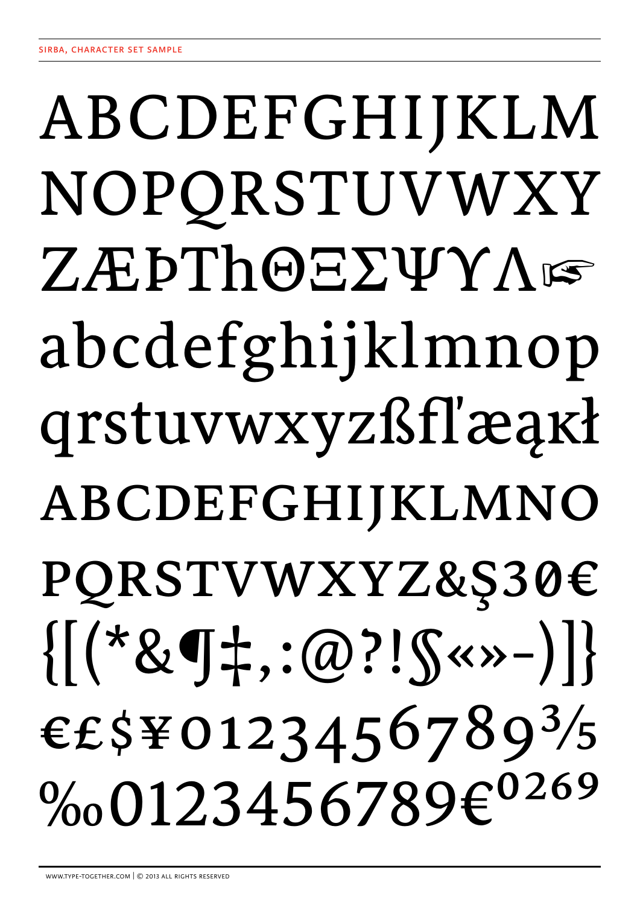# ABCDEFGHIJKLM NOPORSTUVWXY ZÆÞThOEΣΨΥΛΙΕ abcdefghijklmnop qrstuvwxyzßfl'æakł ABCDEFGHIJKLMNO PQRSTVWXYZ&Ş30€  $\{[(*&\mathbf{q}\ddagger,:\emptyset?!\mathbf{S}\times\mathbf{y}-)]\}$ €£\$¥0123456789<sup>3</sup>/5 %0123456789€<sup>0269</sup>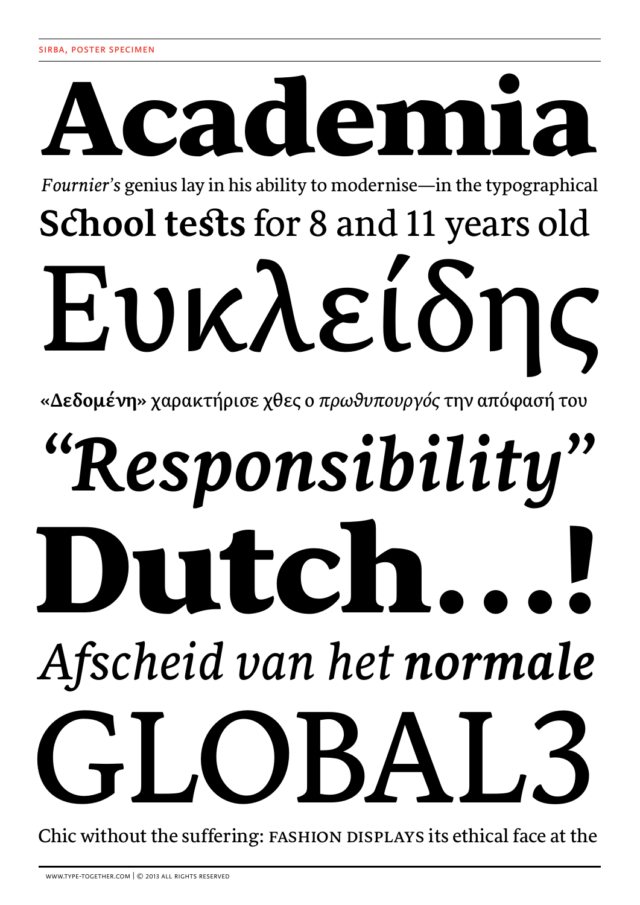# Academia *Fournier's* genius lay in his ability to modernise—in the typographical

# **School tests** for 8 and 11 years old Ευκλείδης

**«Δεδομένη»** χαρακτήρισε χθες ο *πρωθυπουργός* την απόφασή του

# Dutch…! *Afscheid van het normale "Responsibility"*  $JBA$

Chic without the suffering: FASHION DISPLAYS its ethical face at the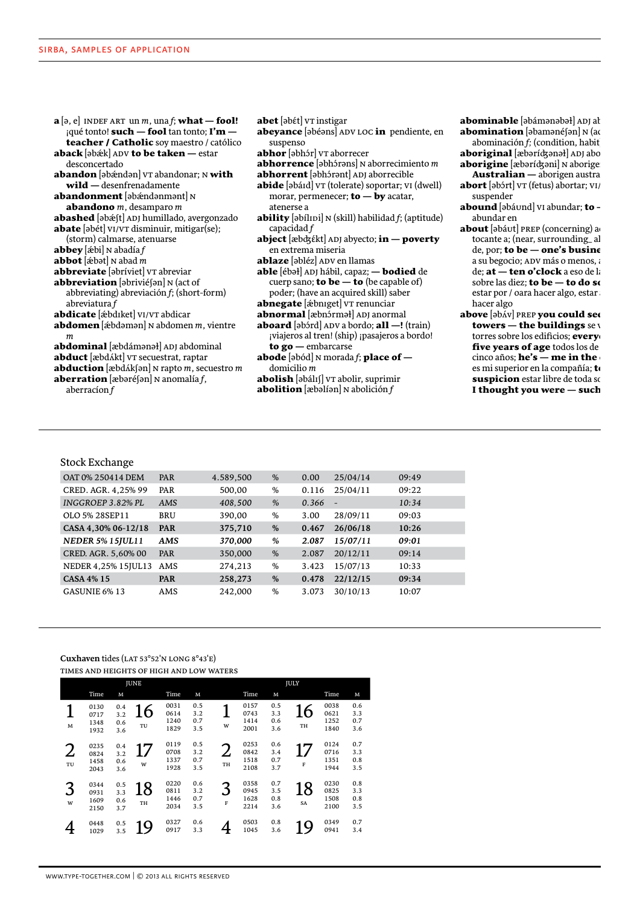| <b>a</b> [ə, e] INDEF ART un m, una f; <b>what — fool!</b>        |
|-------------------------------------------------------------------|
| qué tonto! <b>such</b> — <b>fool</b> tan tonto; $\mathbf{I'm}$ —  |
| <b>teacher / Catholic</b> soy maestro / católico                  |
| <b>aback [ə</b> bǽk] ADV <b>to be taken —</b> estar               |
| desconcertado                                                     |
| <b>abandon</b> [əbændən] v⊤ abandonar; N <b>with</b>              |
| wild - desenfrenadamente                                          |
| <b>abandonment</b> [əbændənmənt] N                                |
| <b>abandono</b> $m$ , desamparo $m$                               |
| <b>abashed</b> [əbæʃt] ADJ humillado, avergonzado                 |
| <b>abate</b> [əbét] vɪ/vɪ disminuir, mitigar(se);                 |
| (storm) calmarse, atenuarse                                       |
|                                                                   |
| <b>abbot</b> [æbət] N abad <i>m</i>                               |
| <b>abbreviate</b> [əbríviet] v⊤ abreviar                          |
| <b>abbreviation</b> [əbriviéʃən] N (act of                        |
|                                                                   |
| abbreviating) abreviación f; (short-form)                         |
| abreviatura f                                                     |
| <b>abdicate</b> [æbdɪket] vɪ/vɪ abdicar                           |
| <b>abdomen</b> [æbdəmən] N abdomen <i>m</i> , vientre             |
| $\boldsymbol{m}$                                                  |
| <b>abdominal</b> [æbdámənə <del>l</del> ] ADJ abdominal           |
| abduct [æbdákt] v $\tau$ secuestrat, raptar                       |
| <b>abduction</b> [æbdÁkʃən] N rapto <i>m</i> , secuestro <i>m</i> |
| <b>aberration</b> [æbəréʃən] N anomalía <i>f</i> ,                |
| aberracion $f$                                                    |
|                                                                   |

- abet [əbɛt] vT instigar
- abeyance [abéans] ADV LOC in pendiente, en suspenso
- abhor [əbhɔr] vr aborrecer
- **abhorrence** [əbhɔ́rəns] N aborrecimiento  $m$
- abhorrent [abhárant] ADJ aborrecible
- abide [əbáɪd] vr (tolerate) soportar; vɪ (dwell) morar, permenecer; **to - by** acatar, atenerse a
- ability [ $\partial$ bílini] N (skill) habilidad f; (aptitude) capacidad $f$
- abject [æbdzékt] ADJ abyecto; in poverty en extrema miseria
- ablaze [əbléz] ADV en llamas
- able [ébəł] ADJ hábil, capaz; bodied de cuerp sano; **to be — to** (be capable of) poder; (have an acquired skill) saber
- abnegate [æbniget] VT renunciar
- abnormal [æbnɔrməł] ADJ anormal
- aboard [əbɔrd] ADV a bordo; all -! (train) ¡viajeros al tren! (ship) ¡pasajeros a bordo! to go - embarcarse
- abode [əbód] N morada f; place of  $$ domicilio  $m$
- abolish [əbálıf] vr abolir, suprimir **abolition**  $[\text{abolíon}]$  N abolición  $f$
- abominable [abámanabał] ADJ ab abomination [əbamənéfən] N (ac
- abominación $f$ ; (condition, habit) aboriginal [æbarícganał] ADJ abo
- aborigine [æbərícgani] N aboriger
- Australian aborigen austral abort [əbɔ́rt] vr (fetus) abortar; vI/ suspender
- abound [əbáund] vi abundar; to abundar en
- about [əbáut] PREP (concerning) ao tocante a; (near, surrounding\_al de, por; to be - one's busine a su begocio; ADV más o menos, a de; at - ten o'clock a eso de la sobre las diez; to be - to do so estar por / oara hacer algo, estar $\imath$ hacer algo
- above [abÁv] PREP you could see towers  $-$  the buildings sev torres sobre los edificios; every five years of age todos los de cinco años; **he's — me in the** es mi superior en la compañía; to suspicion estar libre de toda so I thought you were - such

# **Stock Exchange**

| OAT 0% 250414 DEM       | <b>PAR</b> | 4.589,500 | %             | 0.00  | 25/04/14                 | 09:49 |
|-------------------------|------------|-----------|---------------|-------|--------------------------|-------|
| CRED. AGR. 4,25% 99     | PAR        | 500,00    | %             | 0.116 | 25/04/11                 | 09:22 |
| INGGROEP 3.82% PL       | AMS        | 408,500   | %             | 0.366 | $\overline{\phantom{a}}$ | 10:34 |
| OLO 5% 28SEP11          | BRU        | 390.00    | %             | 3.00  | 28/09/11                 | 09:03 |
| CASA 4,30% 06-12/18     | <b>PAR</b> | 375,710   | %             | 0.467 | 26/06/18                 | 10:26 |
| <b>NEDER 5% 15JUL11</b> | AMS        | 370,000   | %             | 2.087 | 15/07/11                 | 09:01 |
| CRED. AGR. 5,60% 00     | PAR        | 350,000   | %             | 2.087 | 20/12/11                 | 09:14 |
| NEDER 4,25% 15JUL13     | AMS        | 274,213   | $\frac{0}{0}$ | 3.423 | 15/07/13                 | 10:33 |
| <b>CASA 4% 15</b>       | <b>PAR</b> | 258,273   | %             | 0.478 | 22/12/15                 | 09:34 |
| <b>GASUNIE 6% 13</b>    | AMS        | 242,000   | $\frac{0}{0}$ | 3.073 | 30/10/13                 | 10:07 |
|                         |            |           |               |       |                          |       |

# Cuxhaven tides (LAT 53°52'N LONG 8°43'E)

| <b>JUNE</b>          |                              |                          |                        |                              |                          | <b>JULY</b> |                              |                          |          |                              |                          |
|----------------------|------------------------------|--------------------------|------------------------|------------------------------|--------------------------|-------------|------------------------------|--------------------------|----------|------------------------------|--------------------------|
|                      | Time                         | м                        |                        | Time                         | M                        |             | Time                         | M                        |          | Time                         | M                        |
| M                    | 0130<br>0717<br>1348<br>1932 | 0.4<br>3.2<br>0.6<br>3.6 | $6 \overline{6}$<br>TU | 0031<br>0614<br>1240<br>1829 | 0.5<br>3.2<br>0.7<br>3.5 | w           | 0157<br>0743<br>1414<br>2001 | 0.5<br>3.3<br>0.6<br>3.6 | 16<br>TH | 0038<br>0621<br>1252<br>1840 | 0.6<br>3.3<br>0.7<br>3.6 |
| $\overline{2}$<br>TU | 0235<br>0824<br>1458<br>2043 | 0.4<br>3.2<br>0.6<br>3.6 | 17<br>W                | 0119<br>0708<br>1337<br>1928 | 0.5<br>3.2<br>0.7<br>3.5 | ∠<br>TH     | 0253<br>0842<br>1518<br>2108 | 0.6<br>3.4<br>0.7<br>3.7 | F        | 0124<br>0716<br>1351<br>1944 | 0.7<br>3.3<br>0.8<br>3.5 |
| 3<br>W               | 0344<br>0931<br>1609<br>2150 | 0.5<br>3.3<br>0.6<br>3.7 | 18<br>TH               | 0220<br>0811<br>1446<br>2034 | 0.6<br>3.2<br>0.7<br>3.5 | F           | 0358<br>0945<br>1628<br>2214 | 0.7<br>3.5<br>0.8<br>3.6 | 18<br>SA | 0230<br>0825<br>1508<br>2100 | 0.8<br>3.3<br>0.8<br>3.5 |
|                      | 0448<br>1029                 | 0.5<br>3.5               | <b>9</b>               | 0327<br>0917                 | 0.6<br>3.3               |             | 0503<br>1045                 | 0.8<br>3.6               | <b>Q</b> | 0349<br>0941                 | 0.7<br>3.4               |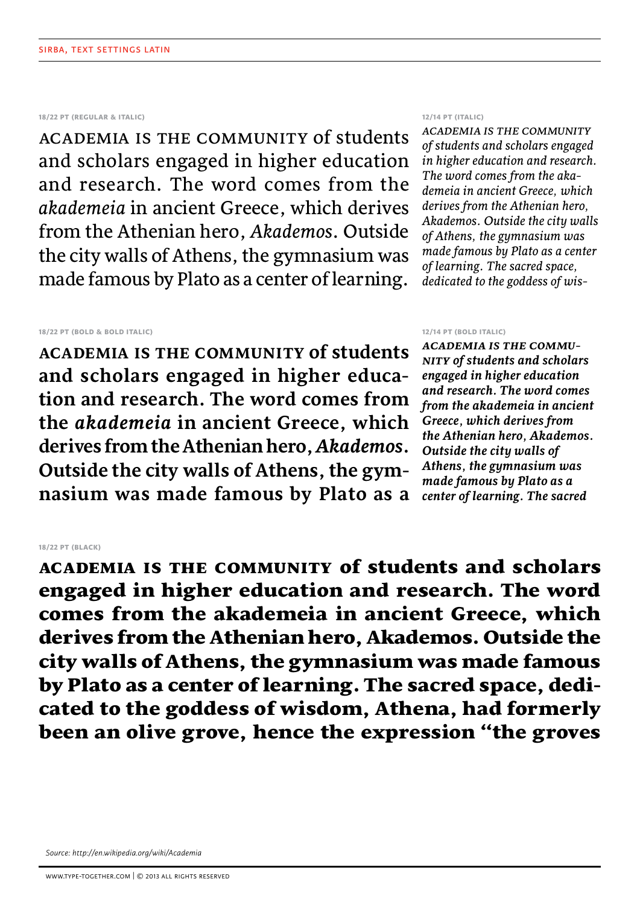# **18/22 pt (regular & italic)**

Academia is the community of students and scholars engaged in higher education and research. The word comes from the *akademeia* in ancient Greece, which derives from the Athenian hero, *Akademos*. Outside the city walls of Athens, the gymnasium was made famous by Plato as a center of learning.

# **18/22 pt (bold & bold italic)**

**Academia is the community of students and scholars engaged in higher education and research. The word comes from the** *akademeia* **in ancient Greece, which derives from the Athenian hero,** *Akademos***. Outside the city walls of Athens, the gymnasium was made famous by Plato as a** 

# **12/14 pt (italic)**

*Academia is the community of students and scholars engaged in higher education and research. The word comes from the akademeia in ancient Greece, which derives from the Athenian hero, Akademos. Outside the city walls of Athens, the gymnasium was made famous by Plato as a center of learning. The sacred space, dedicated to the goddess of wis-*

# **12/14 pt (bold italic)**

*Academia is the community of students and scholars engaged in higher education and research. The word comes from the akademeia in ancient Greece, which derives from the Athenian hero, Akademos. Outside the city walls of Athens, the gymnasium was made famous by Plato as a center of learning. The sacred* 

# **18/22 pt (black)**

Academia is the community of students and scholars engaged in higher education and research. The word comes from the akademeia in ancient Greece, which derives from the Athenian hero, Akademos. Outside the city walls of Athens, the gymnasium was made famous by Plato as a center of learning. The sacred space, dedicated to the goddess of wisdom, Athena, had formerly been an olive grove, hence the expression "the groves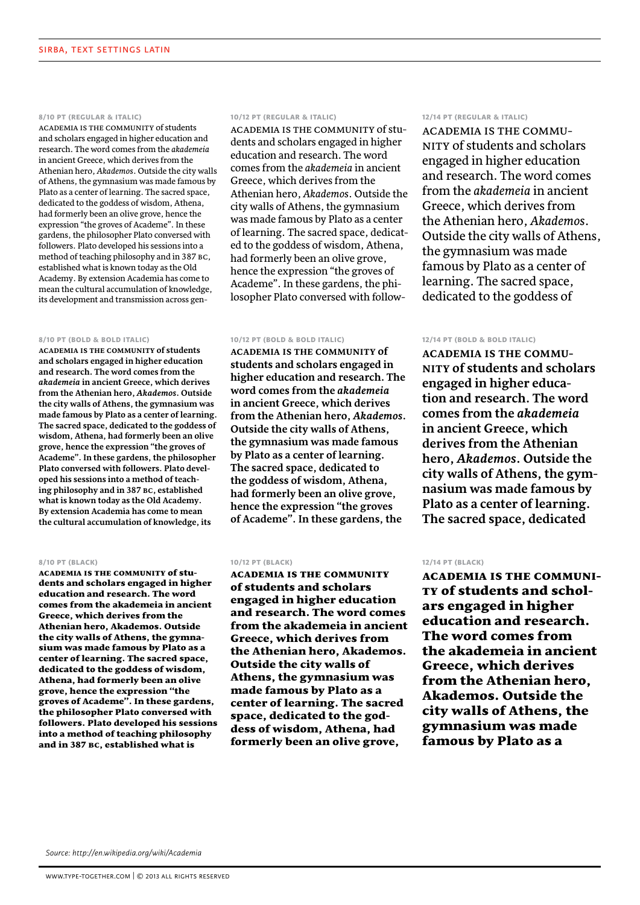#### **8/10 pt (regular & italic)**

Academia is the community of students and scholars engaged in higher education and research. The word comes from the *akademeia* in ancient Greece, which derives from the Athenian hero, *Akademos*. Outside the city walls of Athens, the gymnasium was made famous by Plato as a center of learning. The sacred space, dedicated to the goddess of wisdom, Athena, had formerly been an olive grove, hence the expression "the groves of Academe". In these gardens, the philosopher Plato conversed with followers. Plato developed his sessions into a method of teaching philosophy and in 387 bc, established what is known today as the Old Academy. By extension Academia has come to mean the cultural accumulation of knowledge, its development and transmission across gen-

#### **8/10 pt (bold & bold italic)**

**Academia is the community of students and scholars engaged in higher education and research. The word comes from the**  *akademeia* **in ancient Greece, which derives from the Athenian hero,** *Akademos***. Outside the city walls of Athens, the gymnasium was made famous by Plato as a center of learning. The sacred space, dedicated to the goddess of wisdom, Athena, had formerly been an olive grove, hence the expression "the groves of Academe". In these gardens, the philosopher Plato conversed with followers. Plato developed his sessions into a method of teaching philosophy and in 387 bc, established what is known today as the Old Academy. By extension Academia has come to mean the cultural accumulation of knowledge, its** 

#### **8/10 pt (black)**

Academia is the community of students and scholars engaged in higher education and research. The word comes from the akademeia in ancient Greece, which derives from the Athenian hero, Akademos. Outside the city walls of Athens, the gymnasium was made famous by Plato as a center of learning. The sacred space, dedicated to the goddess of wisdom, Athena, had formerly been an olive grove, hence the expression "the groves of Academe". In these gardens, the philosopher Plato conversed with followers. Plato developed his sessions into a method of teaching philosophy and in 387 bc, established what is

# **10/12 pt (regular & italic)**

Academia is the community of students and scholars engaged in higher education and research. The word comes from the *akademeia* in ancient Greece, which derives from the Athenian hero, *Akademos*. Outside the city walls of Athens, the gymnasium was made famous by Plato as a center of learning. The sacred space, dedicated to the goddess of wisdom, Athena, had formerly been an olive grove, hence the expression "the groves of Academe". In these gardens, the philosopher Plato conversed with follow-

#### **10/12 pt (bold & bold italic)**

**Academia is the community of students and scholars engaged in higher education and research. The word comes from the** *akademeia* **in ancient Greece, which derives from the Athenian hero,** *Akademos***. Outside the city walls of Athens, the gymnasium was made famous by Plato as a center of learning. The sacred space, dedicated to the goddess of wisdom, Athena, had formerly been an olive grove, hence the expression "the groves of Academe". In these gardens, the** 

#### **10/12 pt (black)**

Academia is the community of students and scholars engaged in higher education and research. The word comes from the akademeia in ancient Greece, which derives from the Athenian hero, Akademos. Outside the city walls of Athens, the gymnasium was made famous by Plato as a center of learning. The sacred space, dedicated to the goddess of wisdom, Athena, had formerly been an olive grove,

#### **12/14 pt (regular & italic)**

Academia is the community of students and scholars engaged in higher education and research. The word comes from the *akademeia* in ancient Greece, which derives from the Athenian hero, *Akademos*. Outside the city walls of Athens, the gymnasium was made famous by Plato as a center of learning. The sacred space, dedicated to the goddess of

### **12/14 pt (bold & bold italic)**

**Academia is the community of students and scholars engaged in higher education and research. The word comes from the** *akademeia* **in ancient Greece, which derives from the Athenian hero,** *Akademos***. Outside the city walls of Athens, the gymnasium was made famous by Plato as a center of learning. The sacred space, dedicated** 

# **12/14 pt (black)**

Academia is the community of students and scholars engaged in higher education and research. The word comes from the akademeia in ancient Greece, which derives from the Athenian hero, Akademos. Outside the city walls of Athens, the gymnasium was made famous by Plato as a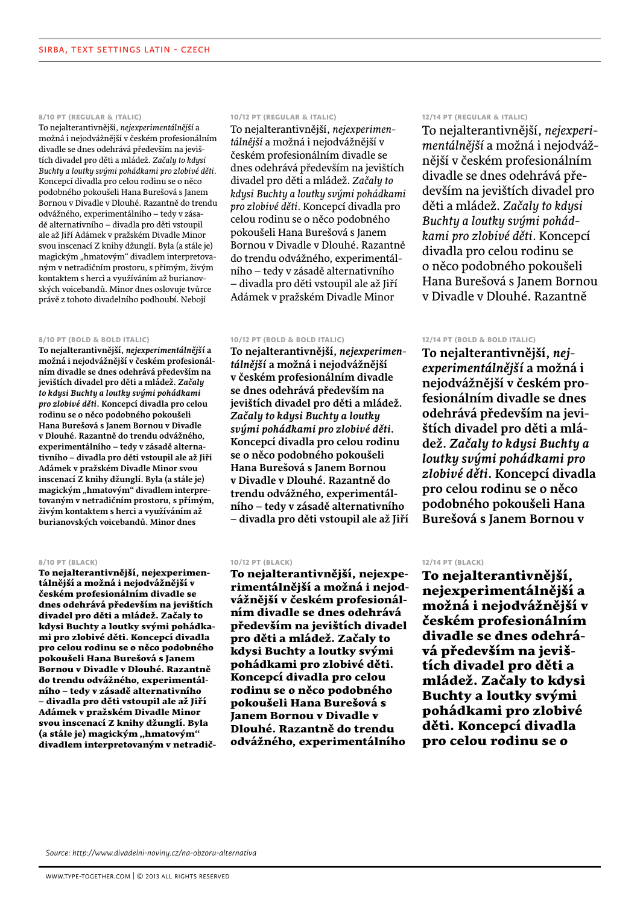# **8/10 pt (regular & italic)**

To nejalterantivnější, *nejexperimentálnější* a možná i nejodvážnější v českém profesionálním divadle se dnes odehrává především na jevištích divadel pro děti a mládež. *Začaly to kdysi Buchty a loutky svými pohádkami pro zlobivé děti.* Koncepcí divadla pro celou rodinu se o něco podobného pokoušeli Hana Burešová s Janem Bornou v Divadle v Dlouhé. Razantně do trendu odvážného, experimentálního – tedy v zásadě alternativního – divadla pro děti vstoupil ale až Jiří Adámek v pražském Divadle Minor svou inscenací Z knihy džunglí. Byla (a stále je) magickým "hmatovým" divadlem interpretovaným v netradičním prostoru, s přímým, živým kontaktem s herci a využíváním až burianovských voicebandů. Minor dnes oslovuje tvůrce právě z tohoto divadelního podhoubí. Nebojí

#### **8/10 pt (bold & bold italic)**

**To nejalterantivnější,** *nejexperimentálnější* **a možná i nejodvážnější v českém profesionálním divadle se dnes odehrává především na jevištích divadel pro děti a mládež.** *Začaly to kdysi Buchty a loutky svými pohádkami pro zlobivé děti***. Koncepcí divadla pro celou rodinu se o něco podobného pokoušeli Hana Burešová s Janem Bornou v Divadle v Dlouhé. Razantně do trendu odvážného, experimentálního – tedy v zásadě alternativního – divadla pro děti vstoupil ale až Jiří Adámek v pražském Divadle Minor svou inscenací Z knihy džunglí. Byla (a stále je)**  magickým "hmatovým" divadlem interpre**tovaným v netradičním prostoru, s přímým, živým kontaktem s herci a využíváním až burianovských voicebandů. Minor dnes** 

#### **8/10 pt (black)**

To nejalterantivnější, nejexperimentálnější a možná i nejodvážnější v českém profesionálním divadle se dnes odehrává především na jevištích divadel pro děti a mládež. Začaly to kdysi Buchty a loutky svými pohádkami pro zlobivé děti. Koncepcí divadla pro celou rodinu se o něco podobného pokoušeli Hana Burešová s Janem Bornou v Divadle v Dlouhé. Razantně do trendu odvážného, experimentálního – tedy v zásadě alternativního – divadla pro děti vstoupil ale až Jiří Adámek v pražském Divadle Minor svou inscenací Z knihy džunglí. Byla (a stále je) magickým "hmatovým" divadlem interpretovaným v netradič-

# **10/12 pt (regular & italic)**

To nejalterantivnější, *nejexperimentálnější* a možná i nejodvážnější v českém profesionálním divadle se dnes odehrává především na jevištích divadel pro děti a mládež. *Začaly to kdysi Buchty a loutky svými pohádkami pro zlobivé děti.* Koncepcí divadla pro celou rodinu se o něco podobného pokoušeli Hana Burešová s Janem Bornou v Divadle v Dlouhé. Razantně do trendu odvážného, experimentálního – tedy v zásadě alternativního – divadla pro děti vstoupil ale až Jiří Adámek v pražském Divadle Minor

# **10/12 pt (bold & bold italic)**

**To nejalterantivnější,** *nejexperimentálnější* **a možná i nejodvážnější v českém profesionálním divadle se dnes odehrává především na jevištích divadel pro děti a mládež.**  *Začaly to kdysi Buchty a loutky svými pohádkami pro zlobivé děti***. Koncepcí divadla pro celou rodinu se o něco podobného pokoušeli Hana Burešová s Janem Bornou v Divadle v Dlouhé. Razantně do trendu odvážného, experimentálního – tedy v zásadě alternativního – divadla pro děti vstoupil ale až Jiří** 

#### **10/12 pt (black)**

To nejalterantivnější, nejexperimentálnější a možná i nejodvážnější v českém profesionálním divadle se dnes odehrává především na jevištích divadel pro děti a mládež. Začaly to kdysi Buchty a loutky svými pohádkami pro zlobivé děti. Koncepcí divadla pro celou rodinu se o něco podobného pokoušeli Hana Burešová s Janem Bornou v Divadle v Dlouhé. Razantně do trendu odvážného, experimentálního

# **12/14 pt (regular & italic)**

To nejalterantivnější, *nejexperimentálnější* a možná i nejodvážnější v českém profesionálním divadle se dnes odehrává především na jevištích divadel pro děti a mládež. *Začaly to kdysi Buchty a loutky svými pohádkami pro zlobivé děti.* Koncepcí divadla pro celou rodinu se o něco podobného pokoušeli Hana Burešová s Janem Bornou v Divadle v Dlouhé. Razantně

# **12/14 pt (bold & bold italic)**

**To nejalterantivnější,** *nejexperimentálnější* **a možná i nejodvážnější v českém profesionálním divadle se dnes odehrává především na jevištích divadel pro děti a mládež.** *Začaly to kdysi Buchty a loutky svými pohádkami pro zlobivé děti***. Koncepcí divadla pro celou rodinu se o něco podobného pokoušeli Hana Burešová s Janem Bornou v** 

# **12/14 pt (black)**

To nejalterantivnější, nejexperimentálnější a možná i nejodvážnější v českém profesionálním divadle se dnes odehrává především na jevištích divadel pro děti a mládež. Začaly to kdysi Buchty a loutky svými pohádkami pro zlobivé děti. Koncepcí divadla pro celou rodinu se o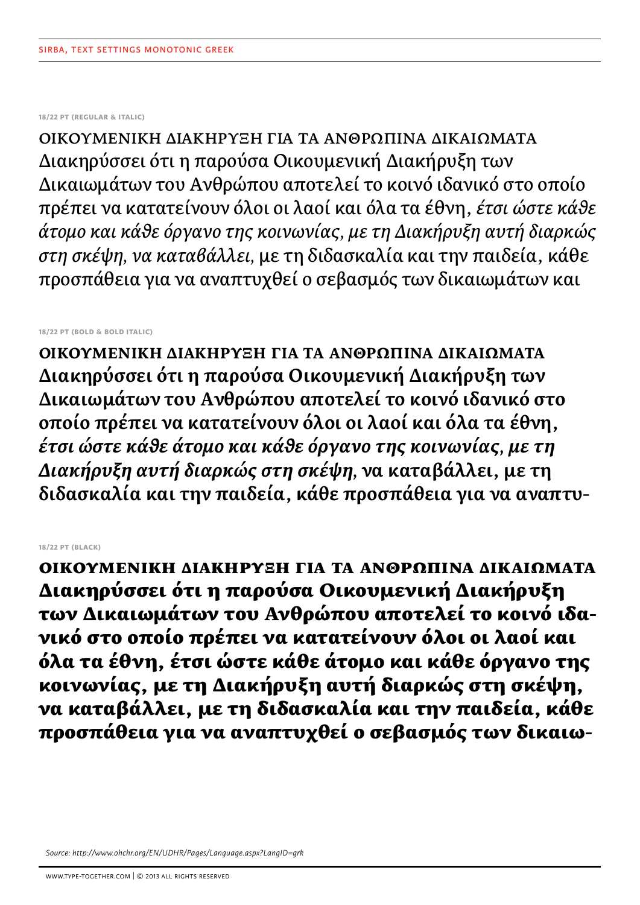# **18/22 pt (regular & italic)**

ΟΙΚΟΥΜΕΝΙΚΗ ΔΙΑΚΗΡΥΞΗ ΓΙΑ ΤΑ ΑΝΘΡΩΠΙΝΑ ΔΙΚΑΙΩΜΑΤΑ Διακηρύσσει ότι η παρούσα Οικουμενική Διακήρυξη των Δικαιωμάτων του Ανθρώπου αποτελεί το κοινό ιδανικό στο οποίο πρέπει να κατατείνουν όλοι οι λαοί και όλα τα έθνη, *έτσι ώστε κάθε άτομο και κάθε όργανο της κοινωνίας, με τη Διακήρυξη αυτή διαρκώς στη σκέψη, να καταβάλλει,* με τη διδασκαλία και την παιδεία, κάθε προσπάθεια για να αναπτυχθεί ο σεβασμός των δικαιωμάτων και

# **18/22 pt (bold & bold italic)**

**ΟΙΚΟΥΜΕΝΙΚΗ ΔΙΑΚΗΡΥΞΗ ΓΙΑ ΤΑ ΑΝΘΡΩΠΙΝΑ ΔΙΚΑΙΩΜΑΤΑ Διακηρύσσει ότι η παρούσα Οικουμενική Διακήρυξη των Δικαιωμάτων του Ανθρώπου αποτελεί το κοινό ιδανικό στο οποίο πρέπει να κατατείνουν όλοι οι λαοί και όλα τα έθνη,**  *έτσι ώστε κάθε άτομο και κάθε όργανο της κοινωνίας, με τη Διακήρυξη αυτή διαρκώς στη σκέψη,* **να καταβάλλει, με τη διδασκαλία και την παιδεία, κάθε προσπάθεια για να αναπτυ-**

# **18/22 pt (black)**

ΟΙΚΟΥΜΕΝΙΚΗ ΔΙΑΚΗΡΥΞΗ ΓΙΑ ΤΑ ΑΝΘΡΩΠΙΝΑ ΔΙΚΑΙΩΜΑΤΑ Διακηρύσσει ότι η παρούσα Οικουμενική Διακήρυξη των Δικαιωμάτων του Ανθρώπου αποτελεί το κοινό ιδανικό στο οποίο πρέπει να κατατείνουν όλοι οι λαοί και όλα τα έθνη, έτσι ώστε κάθε άτομο και κάθε όργανο της κοινωνίας, με τη Διακήρυξη αυτή διαρκώς στη σκέψη, να καταβάλλει, με τη διδασκαλία και την παιδεία, κάθε προσπάθεια για να αναπτυχθεί ο σεβασμός των δικαιω-

*Source: http://www.ohchr.org/EN/UDHR/Pages/Language.aspx?LangID=grk*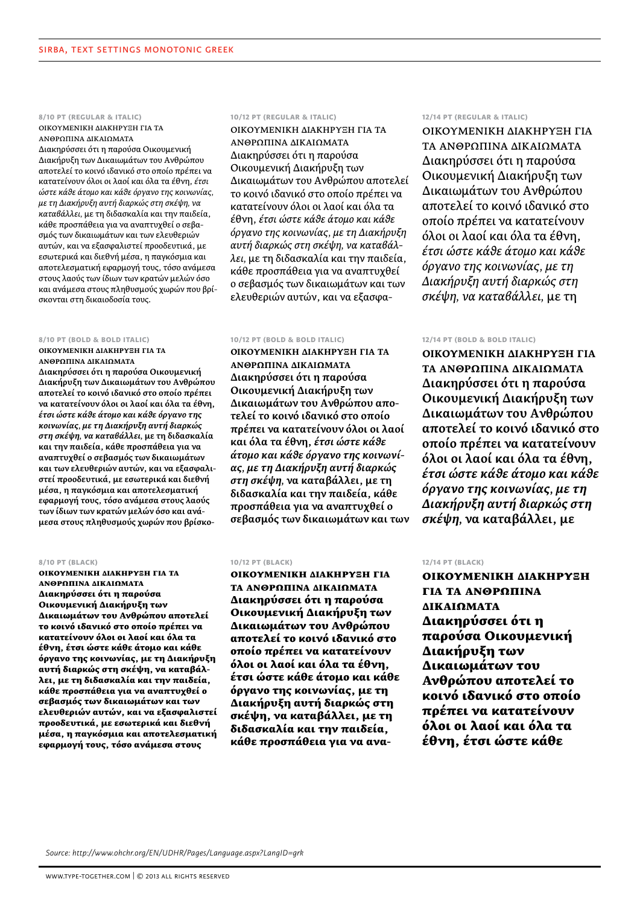# **8/10 pt (regular & italic)**

ΟΙΚΟΥΜΕΝΙΚΗ ΔΙΑΚΗΡΥΞΗ ΓΙΑ ΤΑ ΑΝΘΡΩΠΙΝΑ ΔΙΚΑΙΩΜΑΤΑ

Διακηρύσσει ότι η παρούσα Οικουμενική Διακήρυξη των Δικαιωμάτων του Ανθρώπου αποτελεί το κοινό ιδανικό στο οποίο πρέπει να κατατείνουν όλοι οι λαοί και όλα τα έθνη, *έτσι ώστε κάθε άτομο και κάθε όργανο της κοινωνίας, με τη Διακήρυξη αυτή διαρκώς στη σκέψη, να καταβάλλει,* με τη διδασκαλία και την παιδεία, κάθε προσπάθεια για να αναπτυχθεί ο σεβασμός των δικαιωμάτων και των ελευθεριών αυτών, και να εξασφαλιστεί προοδευτικά, με εσωτερικά και διεθνή μέσα, η παγκόσμια και αποτελεσματική εφαρμογή τους, τόσο ανάμεσα στους λαούς των ίδιων των κρατών μελών όσο και ανάμεσα στους πληθυσμούς χωρών που βρίσκονται στη δικαιοδοσία τους.

### **8/10 pt (bold & bold italic)**

**ΟΙΚΟΥΜΕΝΙΚΗ ΔΙΑΚΗΡΥΞΗ ΓΙΑ ΤΑ ΑΝΘΡΩΠΙΝΑ ΔΙΚΑΙΩΜΑΤΑ**

**Διακηρύσσει ότι η παρούσα Οικουμενική Διακήρυξη των Δικαιωμάτων του Ανθρώπου αποτελεί το κοινό ιδανικό στο οποίο πρέπει να κατατείνουν όλοι οι λαοί και όλα τα έθνη,**  *έτσι ώστε κάθε άτομο και κάθε όργανο της κοινωνίας, με τη Διακήρυξη αυτή διαρκώς στη σκέψη, να καταβάλλει,* **με τη διδασκαλία και την παιδεία, κάθε προσπάθεια για να αναπτυχθεί ο σεβασμός των δικαιωμάτων και των ελευθεριών αυτών, και να εξασφαλιστεί προοδευτικά, με εσωτερικά και διεθνή μέσα, η παγκόσμια και αποτελεσματική εφαρμογή τους, τόσο ανάμεσα στους λαούς των ίδιων των κρατών μελών όσο και ανάμεσα στους πληθυσμούς χωρών που βρίσκο-**

#### **8/10 pt (black)**

ΟΙΚΟΥΜΕΝΙΚΗ ΔΙΑΚΗΡΥΞΗ ΓΙΑ ΤΑ ΑΝΘΡΩΠΙΝΑ ΔΙΚΑΙΩΜΑΤΑ Διακηρύσσει ότι η παρούσα Οικουμενική Διακήρυξη των Δικαιωμάτων του Ανθρώπου αποτελεί το κοινό ιδανικό στο οποίο πρέπει να κατατείνουν όλοι οι λαοί και όλα τα έθνη, έτσι ώστε κάθε άτομο και κάθε όργανο της κοινωνίας, με τη Διακήρυξη αυτή διαρκώς στη σκέψη, να καταβάλλει, με τη διδασκαλία και την παιδεία, κάθε προσπάθεια για να αναπτυχθεί ο σεβασμός των δικαιωμάτων και των ελευθεριών αυτών, και να εξασφαλιστεί προοδευτικά, με εσωτερικά και διεθνή μέσα, η παγκόσμια και αποτελεσματική εφαρμογή τους, τόσο ανάμεσα στους

#### **10/12 pt (regular & italic)**

ΟΙΚΟΥΜΕΝΙΚΗ ΔΙΑΚΗΡΥΞΗ ΓΙΑ ΤΑ ΑΝΘΡΩΠΙΝΑ ΔΙΚΑΙΩΜΑΤΑ Διακηρύσσει ότι η παρούσα Οικουμενική Διακήρυξη των Δικαιωμάτων του Ανθρώπου αποτελεί το κοινό ιδανικό στο οποίο πρέπει να κατατείνουν όλοι οι λαοί και όλα τα έθνη, *έτσι ώστε κάθε άτομο και κάθε όργανο της κοινωνίας, με τη Διακήρυξη αυτή διαρκώς στη σκέψη, να καταβάλλει,* με τη διδασκαλία και την παιδεία, κάθε προσπάθεια για να αναπτυχθεί ο σεβασμός των δικαιωμάτων και των ελευθεριών αυτών, και να εξασφα-

#### **10/12 pt (bold & bold italic)**

**ΟΙΚΟΥΜΕΝΙΚΗ ΔΙΑΚΗΡΥΞΗ ΓΙΑ ΤΑ ΑΝΘΡΩΠΙΝΑ ΔΙΚΑΙΩΜΑΤΑ Διακηρύσσει ότι η παρούσα Οικουμενική Διακήρυξη των Δικαιωμάτων του Ανθρώπου αποτελεί το κοινό ιδανικό στο οποίο πρέπει να κατατείνουν όλοι οι λαοί και όλα τα έθνη,** *έτσι ώστε κάθε άτομο και κάθε όργανο της κοινωνίας, με τη Διακήρυξη αυτή διαρκώς στη σκέψη,* **να καταβάλλει, με τη διδασκαλία και την παιδεία, κάθε προσπάθεια για να αναπτυχθεί ο σεβασμός των δικαιωμάτων και των** 

# **10/12 pt (black)**

ΟΙΚΟΥΜΕΝΙΚΗ ΔΙΑΚΗΡΥΞΗ ΓΙΑ ΤΑ ΑΝΘΡΩΠΙΝΑ ΔΙΚΑΙΩΜΑΤΑ Διακηρύσσει ότι η παρούσα Οικουμενική Διακήρυξη των Δικαιωμάτων του Ανθρώπου αποτελεί το κοινό ιδανικό στο οποίο πρέπει να κατατείνουν όλοι οι λαοί και όλα τα έθνη, έτσι ώστε κάθε άτομο και κάθε όργανο της κοινωνίας, με τη Διακήρυξη αυτή διαρκώς στη σκέψη, να καταβάλλει, με τη διδασκαλία και την παιδεία, κάθε προσπάθεια για να ανα-

# **12/14 pt (regular & italic)**

ΟΙΚΟΥΜΕΝΙΚΗ ΔΙΑΚΗΡΥΞΗ ΓΙΑ ΤΑ ΑΝΘΡΩΠΙΝΑ ΔΙΚΑΙΩΜΑΤΑ Διακηρύσσει ότι η παρούσα Οικουμενική Διακήρυξη των Δικαιωμάτων του Ανθρώπου αποτελεί το κοινό ιδανικό στο οποίο πρέπει να κατατείνουν όλοι οι λαοί και όλα τα έθνη, *έτσι ώστε κάθε άτομο και κάθε όργανο της κοινωνίας, με τη Διακήρυξη αυτή διαρκώς στη σκέψη, να καταβάλλει,* με τη

# **12/14 pt (bold & bold italic)**

**ΟΙΚΟΥΜΕΝΙΚΗ ΔΙΑΚΗΡΥΞΗ ΓΙΑ ΤΑ ΑΝΘΡΩΠΙΝΑ ΔΙΚΑΙΩΜΑΤΑ Διακηρύσσει ότι η παρούσα Οικουμενική Διακήρυξη των Δικαιωμάτων του Ανθρώπου αποτελεί το κοινό ιδανικό στο οποίο πρέπει να κατατείνουν όλοι οι λαοί και όλα τα έθνη,**  *έτσι ώστε κάθε άτομο και κάθε όργανο της κοινωνίας, με τη Διακήρυξη αυτή διαρκώς στη σκέψη,* **να καταβάλλει, με** 

#### **12/14 pt (black)**

ΟΙΚΟΥΜΕΝΙΚΗ ΔΙΑΚΗΡΥΞΗ ΓΙΑ ΤΑ ΑΝΘΡΩΠΙΝΑ ΔΙΚΑΙΩΜΑΤΑ Διακηρύσσει ότι η παρούσα Οικουμενική Διακήρυξη των Δικαιωμάτων του Ανθρώπου αποτελεί το κοινό ιδανικό στο οποίο πρέπει να κατατείνουν όλοι οι λαοί και όλα τα έθνη, έτσι ώστε κάθε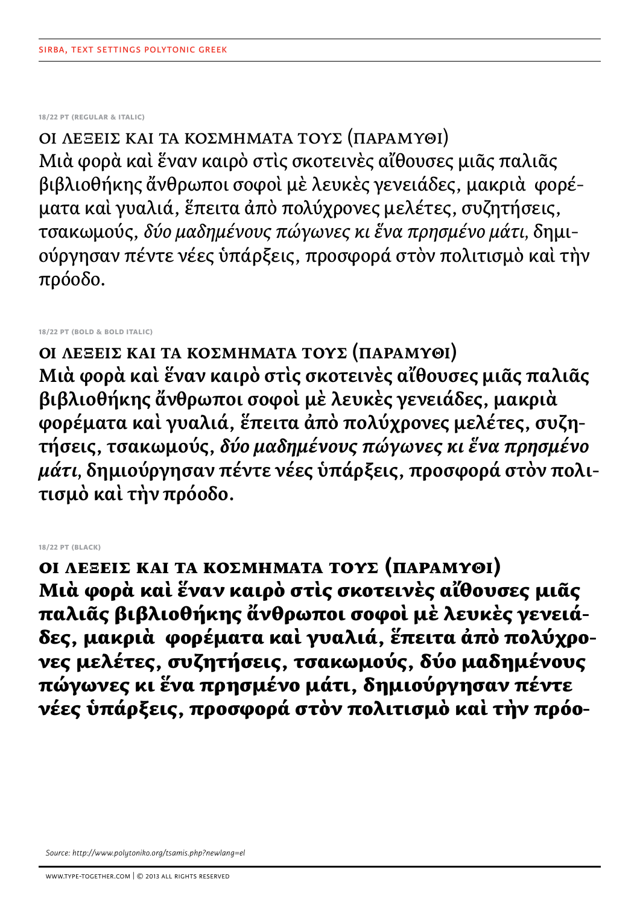**18/22 pt (regular & italic)**

ΟΙ ΛΕΞΕΙΣ ΚΑΙ ΤΑ ΚΟΣΜΗΜΑΤΑ ΤΟΥΣ (ΠΑΡΑΜΥΘΙ) Μιὰ φορὰ καὶ ἕναν καιρὸ στὶς σκοτεινὲς αἴθουσες μιᾶς παλιᾶς βιβλιοθήκης ἄνθρωποι σοφοὶ μὲ λευκὲς γενειάδες, μακριὰ φορέματα καὶ γυαλιά, ἕπειτα ἀπὸ πολύχρονες μελέτες, συζητήσεις, τσακωμούς, *δύο μαδημένους πώγωνες κι ἕνα πρησμένο μάτι,* δημιούργησαν πέντε νέες ὑπάρξεις, προσφορά στὸν πολιτισμὸ καὶ τὴν πρόοδο.

**18/22 pt (bold & bold italic)**

**ΟΙ λέξεις καὶ τὰ κοσμήματά τους (Παραμύθι) Μιὰ φορὰ καὶ ἕναν καιρὸ στὶς σκοτεινὲς αἴθουσες μιᾶς παλιᾶς βιβλιοθήκης ἄνθρωποι σοφοὶ μὲ λευκὲς γενειάδες, μακριὰ φορέματα καὶ γυαλιά, ἕπειτα ἀπὸ πολύχρονες μελέτες, συζητήσεις, τσακωμούς,** *δύο μαδημένους πώγωνες κι ἕνα πρησμένο μάτι,* **δημιούργησαν πέντε νέες ὑπάρξεις, προσφορά στὸν πολιτισμὸ καὶ τὴν πρόοδο.**

**18/22 pt (black)**

ΟΙ ΛΕΞΕΙΣ ΚΑΙ ΤΑ ΚΟΣΜΗΜΑΤΑ ΤΟΥΣ (ΠΑΡΑΜΥΘΙ) Μιὰ φορὰ καὶ ἕναν καιρὸ στὶς σκοτεινὲς αἴθουσες μιᾶς παλιᾶς βιβλιοθήκης ἄνθρωποι σοφοὶ μὲ λευκὲς γενειάδες, μακριὰ φορέματα καὶ γυαλιά, ἕπειτα ἀπὸ πολύχρονες μελέτες, συζητήσεις, τσακωμούς, δύο μαδημένους πώγωνες κι ἕνα πρησμένο μάτι, δημιούργησαν πέντε νέες ὑπάρξεις, προσφορά στὸν πολιτισμὸ καὶ τὴν πρόο-

*Source: http://www.polytoniko.org/tsamis.php?newlang=el*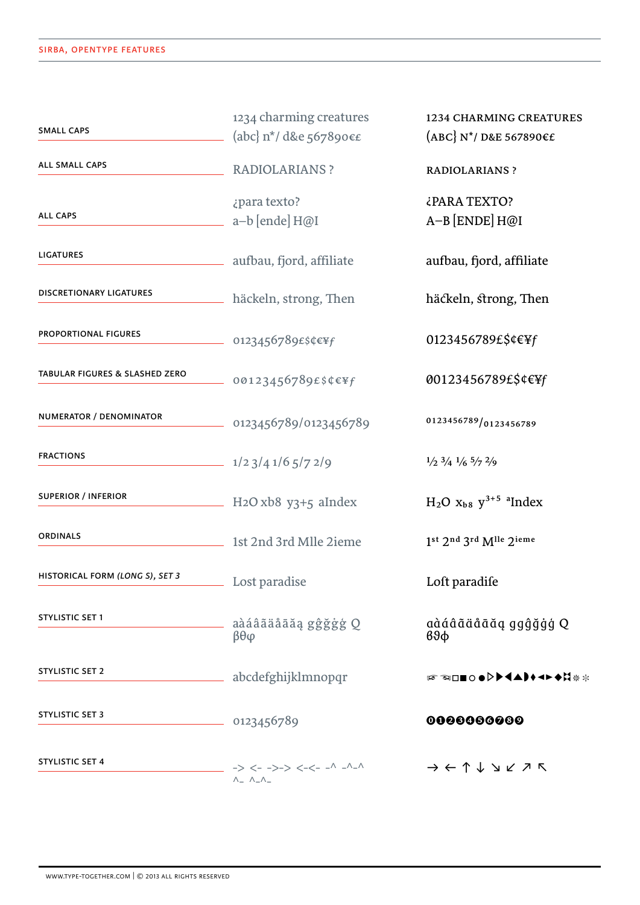| <b>SMALL CAPS</b>               | 1234 charming creatures<br>(abc) $n^*/$ d&e 567890 $\epsilon$ £                         | <b>1234 CHARMING CREATURES</b><br>$(ABC)$ N <sup>*</sup> / D&E 567890 $\epsilon$ £             |  |  |
|---------------------------------|-----------------------------------------------------------------------------------------|------------------------------------------------------------------------------------------------|--|--|
| ALL SMALL CAPS                  | <b>RADIOLARIANS ?</b>                                                                   | <b>RADIOLARIANS ?</b>                                                                          |  |  |
| <b>ALL CAPS</b>                 | ¿para texto?<br>a-b [ende] H@I                                                          | ¿PARA TEXTO?<br>$A-B$ [ENDE] $H@I$                                                             |  |  |
| <b>LIGATURES</b>                | aufbau, fjord, affiliate                                                                | aufbau, fjord, affiliate                                                                       |  |  |
| <b>DISCRETIONARY LIGATURES</b>  | häckeln, strong, Then                                                                   | häckeln, strong, Then                                                                          |  |  |
| <b>PROPORTIONAL FIGURES</b>     | $- 0123456789$ £\$¢€¥f                                                                  | 0123456789£\$¢€¥f                                                                              |  |  |
| TABULAR FIGURES & SLASHED ZERO  | 00123456789£\$¢€¥f                                                                      | 00123456789£\$¢€¥f                                                                             |  |  |
| NUMERATOR / DENOMINATOR         | $-$ 0123456789/0123456789                                                               | 0123456789/0123456789                                                                          |  |  |
| <b>FRACTIONS</b>                | $\frac{1}{2}$ $\frac{1}{2}$ $\frac{3}{4}$ $\frac{1}{6}$ $\frac{5}{7}$ $\frac{2}{9}$     | $\frac{1}{2}$ $\frac{3}{4}$ $\frac{1}{6}$ $\frac{5}{7}$ $\frac{2}{9}$                          |  |  |
| <b>SUPERIOR / INFERIOR</b>      | $H_2O$ xb8 y3+5 aIndex                                                                  | $H_2O$ $x_{b8}$ $y^{3+5}$ <sup>a</sup> Index                                                   |  |  |
| ORDINALS                        | 1st 2nd 3rd Mlle 2ieme                                                                  | 1st 2nd 3rd Mlle 2ieme                                                                         |  |  |
| HISTORICAL FORM (LONG S), SET 3 | <u>Lost paradise</u>                                                                    | Loft paradife                                                                                  |  |  |
| <b>STYLISTIC SET 1</b>          | aàáâãäåāäą gĝğġģ Q<br>$\beta\theta\varphi$                                              | aàáâãäåāăa ggĝğġģ Q<br>$69\phi$                                                                |  |  |
| STYLISTIC SET 2                 | abcdefghijklmnopqr                                                                      | 15 ☜□■○●▷▶◀▲▶◆◄▶◆☆☀☀                                                                           |  |  |
| <b>STYLISTIC SET 3</b>          | 0123456789                                                                              | 0000000000                                                                                     |  |  |
| <b>STYLISTIC SET 4</b>          | $-> <-->-> <-- - ^ - ^ - ^ - ^ - ^ - ^$<br>$\wedge$ $\wedge$ $\wedge$ $\wedge$ $\wedge$ | $\rightarrow$ $\leftarrow$ $\uparrow$ $\downarrow$ $\searrow$ $\swarrow$ $\nearrow$ $\nwarrow$ |  |  |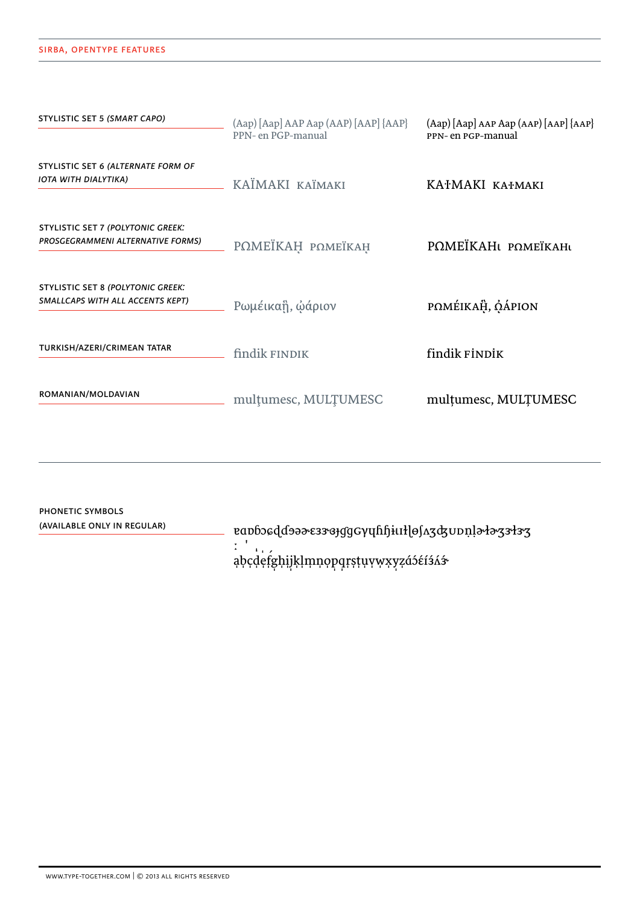# SIRBA, OPENTYPE FEATURES

| STYLISTIC SET 5 (SMART CAPO)                                                  | (Aap) [Aap] AAP Aap (AAP) [AAP] {AAP}<br>PPN- en PGP-manual | (Aap) [Aap] AAP Aap (AAP) [AAP] {AAP}<br>PPN- en PGP-manual |  |  |
|-------------------------------------------------------------------------------|-------------------------------------------------------------|-------------------------------------------------------------|--|--|
| STYLISTIC SET 6 (ALTERNATE FORM OF<br>IOTA WITH DIALYTIKA)                    | KAÏMAKI KAÏMAKI                                             | KATMAKI KATMAKI                                             |  |  |
| <b>STYLISTIC SET 7 (POLYTONIC GREEK:</b><br>PROSGEGRAMMENI ALTERNATIVE FORMS) | РОМЕЇКАН РОМЕЇКАН                                           | POMEÏKAHL POMEÏKAHL                                         |  |  |
| <b>STYLISTIC SET 8 (POLYTONIC GREEK:</b><br>SMALLCAPS WITH ALL ACCENTS KEPT)  | Ρωμέικαἣ, ώάριον                                            | POMÉIKAH, OÁPION                                            |  |  |
| TURKISH/AZERI/CRIMEAN TATAR                                                   | findik FINDIK                                               | findik FİNDİK                                               |  |  |
| ROMANIAN/MOLDAVIAN                                                            | multumesc, MULTUMESC                                        | multumesc, MULTUMESC                                        |  |  |

PHONETIC SYMBOLS (AVAILABLE ONLY IN REGULAR) abcdefghijklmnopqrstuvwxyzáséísás

WWW.TYPE-TOGETHER.COM | © 2013 ALL RIGHTS RESERVED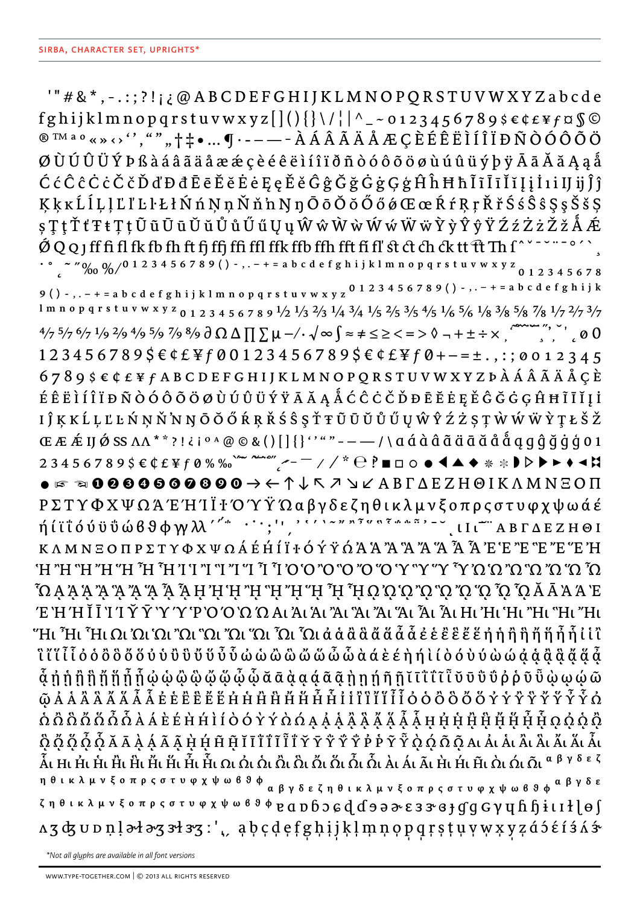'" # & \*, -.:;?!;¿@ABCDEFGHIJKLMNOPQRSTUVWXYZabcde fghijklmnopqrstuvwxyz[](){}\/||^\_~0123456789\$€¢£¥f¤§© ØÙÚÛÜÝÞß à á â ã ä å æ æ ç è é ê ë ì í î ï ð ñ ò ó ô õ ö ø ù ú û ü ý þ ÿ Ā ā Ă ă Ą ą å ĆćĈĉĊċČčĎďĐđĒēĔĕĖėĘęĚěĜĝĞğĠġĢģĤĥĦħĨĩĪīĬĭĮįİiijijĵĵ KkkLlLlLlLltLtKnnn Nnn Nno OoOoOoOocce RtRrKrŠs S S S S S S S  $\varsigma\mathop{\mathrm{T}}\nolimits\mathop{\mathrm{t}}\nolimits\mathop{\mathrm{T}}\nolimits\mathop{\mathrm{t}}\nolimits\mathop{\mathrm{T}}\nolimits\mathop{\mathrm{t}}\nolimits\mathop{\mathrm{t}}\nolimits\mathop{\mathrm{0}}\nolimits\mathop{\mathrm{u}}\nolimits\mathop{\mathrm{0}}\nolimits\mathop{\mathrm{u}}\nolimits\mathop{\mathrm{0}}\nolimits\mathop{\mathrm{u}}\nolimits\mathop{\mathrm{0}}\nolimits\mathop{\mathrm{u}}\nolimits\mathop{\mathrm{0}}\nolimits\mathop{\mathrm{u}}\nolimits\mathop{\mathrm{0}}\nolimits\mathop{\$  $0$  Q Q J ff fi fl fk fb fh ft fj ffj ffi ffl ffk ffb ffh fft fi fl' st ct ch ck tt ft Th f^ ` - ` " o' ` , ` ^ ~ ~ ~ - o' ` , ` ^ ~ ~ ~ ~ o' ` , ` ^ ~ ~ ~ ~ o' ` , ` ^ ~ ~ ~ ~ ^ ` , ` ^ ~ ~ ~ ~ ^ ^ , ^ ~ ~ ~ ~ ^ ^ ^ ^ ~ 9 () - , . – + = a b c d e f g h i j k l m n o p q r s t u v w x y z <sup>0</sup> 1 2 3 4 5 6 7 8 9 () - , . – + = a b c d e f g h i j k 1 m n o p q r s t u v w x y z <sub>0</sub> 1 2 3 4 5 6 7 8 9 <sup>1</sup>/2 <sup>1</sup>/3 <sup>2</sup>/3 <sup>1</sup>/4 <sup>3</sup>/4 <sup>1</sup>/5 <sup>2</sup>/5 <sup>3</sup>/5 <sup>4</sup>/5 <sup>1</sup>/6 <sup>5</sup>/6 <sup>1</sup>/8 <sup>3</sup>/8 <sup>5</sup>/8 <sup>7</sup>/8 <sup>1</sup>/7 <sup>2</sup>/7 <sup>3</sup>/7  $\frac{4}{7}$  5/7 6/7 1/9 2/9 4/9 5/9 7/9 8/9  $\partial$   $\Omega$   $\Delta$   $\prod$   $\sum$   $\mu$  -/  $\cdot$   $\sqrt{\infty}$   $\int$   $\approx$   $\neq$   $\leq$   $\geq$   $\lt$   $=$   $>$   $\Diamond$   $+$   $\pm$   $\div$   $\times$   $\therefore$   $\therefore$   $\neq$   $\emptyset$   $\emptyset$  $123456789$ \$ $\epsilon$ ¢£¥f00123456789\$ $\epsilon$ ¢£¥f0+-=±.,:;0012345  $6789$ \$ $666$  $664$  $6789$ \$ $666$  $666$  $6789$  $666$  $666$  $666$  $666$ ÉÊËÌÍÎ ÏĐÑÒÓÔÕÖØÙÚÛÜÝŸĀĂĄÅĆĈĊČĎĐĒĔĖĘĚĜĞĠĢĤĦĨĪĬĮİ I Ĵ Ķ K Ĺ Ļ Ľ Ŀ Ń Ņ Ň N Ŋ Ō Ŏ Ő Ŕ Ŗ Ř Ś Ŝ Ş Ť Ŧ Ũ Ū Ŭ Ů Ű Ų Ŵ Ŷ Ź Ż Ș Ţ Ŵ Ŵ Ŵ Ŷ Ţ Ł Š Ž ήǼIJǾSS AA<sup>\*\*</sup>?!¿iº^@©&()[]{}''""---/\aáddãddãddaqg ĝğġģ01  $K \wedge M \wedge E$   $O \Pi P \Sigma T Y \Phi X \Psi \Omega A E H I I I + O Y Y \Omega A A A Y A Y A Y A Y A Y A Y A Y A Y E 'E 'E 'E 'E 'E 'E 'H$ Ω ̈Ω ¨Ω ¨Ω ¨Ω ¨Ω ¨Ω ¨Υ ¨Υ ¨Ο ¨Ο ¨Ο ¨Ο ¨Ο ¨Ο ¨Ο ¨Ο ¨Τ ¨Γ ¨Π ¨Τ ¨Τ ¨Τ ¨Τ ¨Η ¨Η ¨Η ¨Η ¨Η ¨ Έ Ή Ή Ι Ι Ί Υ Υ Υ Ύ ΨΟΌ Ω Ω Αι Άι Άι Άι Άι Άι Άι Αι Αι Αι Ηι Ηι Ήι Ήι "Hι "Hι"Ηι "Hι "Hι "Hι Ωι Ώι Ώι "Ωι "Ωι "Ωι "Ωι "Ωι ζΩι ά ά ά ά ά ά ά ά « έ έ ε ε ε έ ε ή ή ή ή ή ή ή ή ή εί ί' **Ĩ** ไ ไ ไ ไ ဝ ဝ် ဝီ ဝီ ဝိ ဝိ ပိ ပိ ပိ ပိ ပိ ပိ ပိ ပိ ယ် ယ် ယ် ယ် ယ် ယ် ယ် α α ε ε η ή l ί ဝဲ ဝ ဴ ပဲ ပ် ယ် ယု ၀ု ၀ို ပို ပို ပို ပို ပို  $\hat{\Omega}$   $\hat{\Omega}$   $\hat{\Omega}$   $\tilde{\Omega}$   $\tilde{\Omega}$   $\tilde{\Omega}$   $\tilde{\Omega}$   $\tilde{\Omega}$   $\tilde{\Omega}$   $\tilde{\Omega}$   $\tilde{\Omega}$   $\tilde{\Omega}$   $\tilde{\Omega}$   $\tilde{\Omega}$   $\tilde{\Omega}$   $\tilde{\Omega}$   $\tilde{\Omega}$   $\tilde{\Omega}$   $\tilde{\Omega}$   $\tilde{\Omega}$   $\tilde{\Omega}$   $\tilde{\Omega}$   $\tilde{\Omega}$   $\tilde{\Omega}$   $\tilde{\Omega}$ Ô Ở Ố Ố Ố Ă Ā À Á Ã Ã H H H H T I I I I I I I I I Y Y Y Ÿ Ÿ P P Y Ÿ Ò Q Ó Õ Q A L Ả L Ả L Ầ L Ẩ L Ă L Ă L Ấi Hi Hi Hi Hi Hi Hi Hi Hi Hi Hi Qi Qi Qi Qi Qi Qi Qi Qi Qi Qi Qi Qi Ai Ai Ai Hi Hi Hi Qi Qi Qi <sup>a βγδεζ</sup> η θικλμνξοπρςστυφχψωβθφ<br>α βγδεζηθικλμνξοπρςστυφχψωβθφ<sup>α βγδ</sup>ε  $\zeta$  η θικλμνξοπρςστυφχψω <sup>β 9</sup> φ *e a* p  $\zeta$  o  $\zeta$  d  $\zeta$   $\zeta$  a  $\zeta$  e 3 3  $\zeta$  e  $\zeta$  c  $\gamma$  u  $\zeta$  h  $\zeta$  i l l  $\zeta$  e  $\zeta$  $\mathtt{A}\mathtt{3}\mathtt{d}\mathtt{5} \mathtt{U} \mathtt{D} \mathtt{1} \mathtt{1} \mathtt{3} \mathtt{d} \mathtt{3} \mathtt{5} \mathtt{3} \mathtt{3} \mathtt{5} \mathtt{1} \mathtt{1} \mathtt{1} \mathtt{2} \mathtt{3} \mathtt{3} \mathtt{5} \mathtt{4} \mathtt{1} \mathtt{2} \mathtt{3} \mathtt{3} \mathtt{4} \mathtt{4} \mathtt{5} \mathtt{4} \mathtt{5} \mathtt{5} \mathtt{5} \mathtt{6} \mathtt{5} \mathtt{5} \$ 

\*Not all glyphs are available in all font versions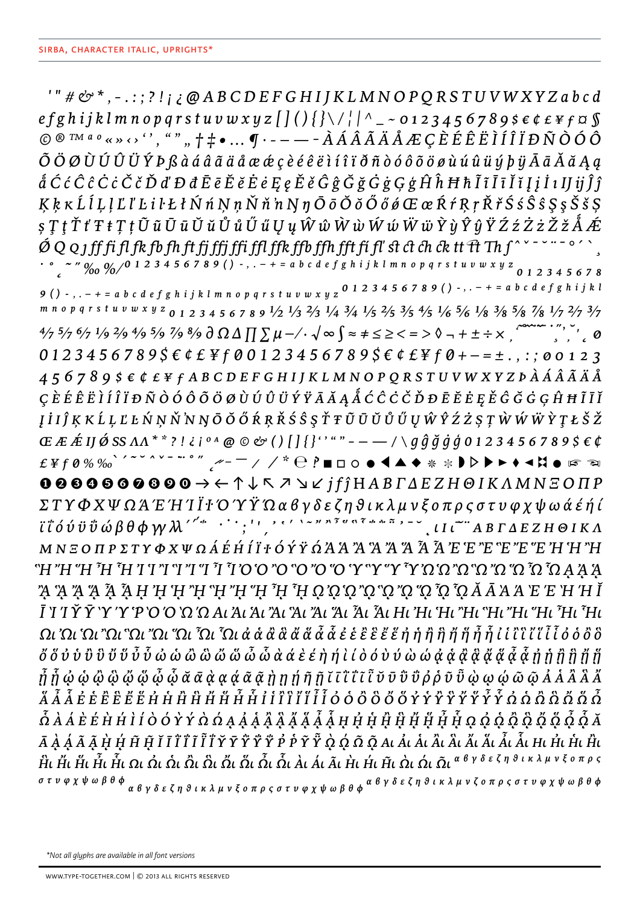$T'' \# \mathcal{O}^*$ , -.:;?!;  $\partial A B C D E F G H I J K L M N O P Q R S T U V W X Y Z a b c d$ efghijklmnopqrstuvwxyz[](){}\/||^\_~0123456789\$ $\epsilon$ ¢£¥f¤§  $\circledcirc \text{ s.t. } \circledcirc \text{ s.t. } \circledcirc \text{ s.t. } \bullet \text{ ... } \bullet \text{ s.t. } \bullet \text{ ... } \bullet \text{ s.t. } \bullet \text{ s.t. } \bullet \text{ s.t. } \bullet \text{ s.t. } \bullet \text{ s.t. } \bullet \text{ s.t. } \bullet \text{ s.t. } \bullet \text{ s.t. } \bullet \text{ s.t. } \bullet \text{ s.t. } \bullet \text{ s.t. } \bullet \text{ s.t. } \bullet \text{ s.t. } \bullet \text{ s.t. } \bullet \text{ s.t. } \bullet \text{ s.t. } \bullet \text{ s.t. } \bullet \text{ s.t. } \bullet$ Õ Ö Ø Ù Ú Û Ü Ý Þ ß à á â ã ä å æ æ ç è é ê ë ì í î ï ð ñ ò ó ô õ ö ø ù ú û ü ý þ ÿ Ā ā Ă ă Ą ą  $\hat{a}$ Ccc $\hat{c}$ Cc $\hat{c}$ Cc $\check{c}$  $\check{c}$   $\check{D}$  d' $D$  đ $\bar{E}$   $\bar{e}$   $\check{E}$   $\check{e}$   $\check{E}$  $\check{e}$  $\varphi$  $\check{E}$  $\check{e}$  $\hat{G}$  $\check{g}$  $\check{G}$  $\check{g}$  $\check{G}$  $\check{g}$  $\varphi$  $\check{g}$  $\hat{H}$  $\hat{h}$  $H$  $\hbar$  $\tilde{I}$  $\tilde{i}$  $\tilde{I}$  $K \, k \, \kappa \, \hat{L} \, \hat{l} \, L \, \hat{l} \, L \, \hat{l} \, L \, \hat{l} \, L \, \hat{l} \, k \, \hat{l} \, \hat{N} \, \hat{n} \, N \, n \, \check{N} \, \check{n} \, n \, N \, \eta \, \bar{O} \, \bar{o} \, \check{O} \, \check{o} \, \check{o} \, \check{o} \, \mathbb{C} \, \alpha \, \hat{R} \, \check{r} \, R \, r \, \check{R} \, \check{r} \, \hat{S} \, \hat{S} \, \hat{S} \, \hat{S$  $\varsigma\mathop{\text{$\,T$}}\nolimits\{\mathop{\text{$\,T$}}\nolimits\mathop{\text{$\,t$}}\nolimits\mathop{\text{$\,T$}}\nolimits\mathop{\text{$\,t$}}\nolimits\mathop{\text{$\,T$}}\nolimits\mathop{\text{$\,t$}}\nolimits\mathop{\text{$\,T$}}\nolimits\mathop{\text{$\,t$}}\nolimits\mathop{\text{$\,T$}}\nolimits\mathop{\text{$\,t$}}\nolimits\mathop{\text{$\,T$}}\nolimits\mathop{\text{$\,t$}}\nolimits\mathop{\text{$\,T$}}\nolimits\mathop{\text{$$ 9 () - , . – + = a b c d e f g h i j k l m n o p q r s t u v w x y z  $0$  1 2 3 4 5 6 7 8 9 () - , . – + = a b c d e f g h i j k l m n o p q r s t u v w x y z  $_{0}$  1 2 3 4 5 6 7 8 9  $\frac{1}{2}$   $\frac{1}{3}$   $\frac{2}{3}$   $\frac{1}{4}$   $\frac{3}{4}$   $\frac{1}{5}$   $\frac{2}{5}$   $\frac{3}{5}$   $\frac{4}{5}$   $\frac{1}{6}$   $\frac{5}{6}$   $\frac{1}{8}$   $\frac{3}{8}$   $\frac{5}{8}$   $\frac{7}{8}$   $\frac{1}{7}$   $\frac{2}{7}$  $\frac{4}{7}$  5/7 6/7 1/9 2/9 4/9 5/9 7/9 8/9  $\frac{3}{4}$   $\Omega \Delta \prod \sum \mu - \frac{1}{2}$   $\sim \sqrt{\infty}$   $\int \approx \pm \frac{1}{2}$   $\geq$   $\lt$  = >  $\sqrt[3]{\infty}$  +  $\pm \div \times$  $01234567895 \epsilon$  ¢ £ ¥ f 00123456789\$ $\epsilon$  ¢ £ ¥ f 0+-=±., :; 00123  $456789$   $56646789$ Į İ I Ĵ Ķ K Ĺ Ļ Ľ Ŀ Ń Ņ Ň N N Ō Ŏ Ő Ŕ Ŗ Ř Ś Ŝ Ş Ť Ŧ Ũ Ū Ŭ Ů Ű Ų Ŵ Ŷ Ź Ż Ș Ţ Ŵ Ŵ Ŵ Ŷ Ţ Ł Š Ž Œ Æ Á IJ Ø SS  $\Lambda\Lambda$ \*\*?!¿i º <sup>A</sup> @ © & () [] {}'' " " - - - / \ g ĝ ğ ġ ģ 0 1 2 3 4 5 6 7 8 9 \$ € ¢ £\f0%‰`´~`^`-``";";~- ̄; / `` ℮ ?■□ㅇ●◀▲◆ \* \*♪▷▶▶◆◀¤● ☞ ☜  $0000000000 \rightarrow C \uparrow C \wedge T \rightarrow C j f j H A B \Gamma A E Z H \Theta I K \Lambda M N E O \Pi P$ ΣΤΥΦΧΨΩΆ Έ Ή Ί Ι <sup>†</sup> Ο Ύ Ϋ́ Ώ α β γ δ ε ζ η θ ι κ λ μ ν ξ ο π ρ ς σ τ υ φ χ ψ ω ά έ ή ί  $I \cup \{1, ..., N\}$ *<u><del>ι' ι' ο' υ' ι' ω' βθφγγλ'' "''*;</u></del>  $M N \, \Xi \, O \, \Pi \, P \, \Sigma \, T \, Y \, \Phi \, X \, \Psi \, \Omega \, \AA \, \acute{E} \, \acute{H} \, \acute{I} \, \ddot{I} \, Y \, \acute{O} \, \acute{Y} \, \acute{Y} \, \acute{\Omega} \, A \, \ddot{A} \, X \, \ddot{A} \, X \, \ddot{A} \, X \, \ddot{A} \, \ddot{A} \, \ddot{A} \, \ddot{B} \, \ddot{E} \, \ddot{E} \, \ddot{E} \, \ddot{E} \, \ddot{E} \, \dot{E}$ "H"H"H"H" H" I "A A A A "A "Y" Y" Y" Y" Y" Y" Y" Y" Y" Y" Y" H" H" H" H" H" H" H" Ī 'I 'I Υ Υ 'Υ 'Υ 'Ρ 'Ο 'Ο 'Ω 'Ω Αι Άι Άι Άι Άι Άι Άι Άι Αι Ηι Ήι 'Hι "Hι "Hι "Hι "Hι "Hι "Hι "Hι  $\tilde{m}$   $\tilde{b}$   $\phi$   $\phi$   $\tilde{\phi}$   $\tilde{\phi}$   $\tilde{\phi}$   $\tilde{\phi}$   $\tilde{\alpha}$   $\tilde{\alpha}$   $\alpha$   $\alpha$   $\alpha$   $\tilde{\alpha}$   $\tilde{\alpha}$   $\tilde{\eta}$   $\eta$   $\tilde{\eta}$   $\tilde{\eta}$   $\tilde{\iota}$   $\tilde{\iota}$   $\tilde{\iota}$   $\tilde{\iota}$   $\tilde{\iota}$   $\tilde{\upsilon}$   $\tilde{\upsilon}$   $\tilde$  $\tilde{\Omega}$  À Á È É H H Ì Í Ò Ó Y Ý À Ó Ą Á Á Á Ä Ä Ä Ä Ä Ã Ã H H H H H H H H H H H A Q Q Q Q Q Q Č  $\tilde{Q}$   $\tilde{Q}$   $\tilde{Q}$   $\tilde{A}$  $\hat{H}$ ι Η΄ ι Η΄ Η΄ Γ΄ (Σε Ωι Ωι Ωι Ωι Ωι Ωι Ω΄ Ωι Ω΄ αν Δι Α΄ Α΄ Η΄ Η΄ Η΄ Η΄ Ωι Ωι  $\hat{\Omega}$ ι α<sup>βγδεζηθικλμνξοπρς</sup> στυφχψωβθφ<br>α βγδεζηθικλμνξοπρςστυφχψωβθφ<sup>α β</sup>γδεζηθικλμνζοπρςστυφχψωβθφ